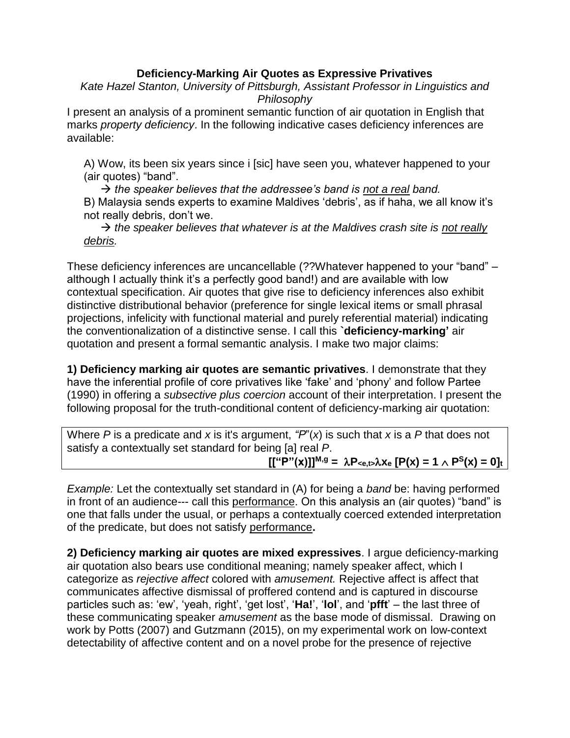## **Deficiency-Marking Air Quotes as Expressive Privatives**

*Kate Hazel Stanton, University of Pittsburgh, Assistant Professor in Linguistics and Philosophy*

I present an analysis of a prominent semantic function of air quotation in English that marks *property deficiency*. In the following indicative cases deficiency inferences are available:

A) Wow, its been six years since i [sic] have seen you, whatever happened to your (air quotes) "band".

 *the speaker believes that the addressee's band is not a real band.* B) Malaysia sends experts to examine Maldives 'debris', as if haha, we all know it's not really debris, don't we.

 $\rightarrow$  the speaker believes that whatever is at the Maldives crash site is not really *debris.*

These deficiency inferences are uncancellable (??Whatever happened to your "band" – although I actually think it's a perfectly good band!) and are available with low contextual specification. Air quotes that give rise to deficiency inferences also exhibit distinctive distributional behavior (preference for single lexical items or small phrasal projections, infelicity with functional material and purely referential material) indicating the conventionalization of a distinctive sense. I call this **`deficiency-marking'** air quotation and present a formal semantic analysis. I make two major claims:

**1) Deficiency marking air quotes are semantic privatives**. I demonstrate that they have the inferential profile of core privatives like 'fake' and 'phony' and follow Partee (1990) in offering a *subsective plus coercion* account of their interpretation. I present the following proposal for the truth-conditional content of deficiency-marking air quotation:

Where *P* is a predicate and *x* is it's argument, *"P*"(*x*) is such that *x* is a *P* that does not satisfy a contextually set standard for being [a] real *P*.  $[[$ <sup>["</sup>(x)]]<sup>M,g</sup> =  $\lambda P_{\leq e,t}$ ,  $\lambda X_e$  [P(x) = 1  $\wedge$  P<sup>S</sup>(x) = 0]<sup>t</sup>

*Example:* Let the contextually set standard in (A) for being a *band* be: having performed in front of an audience--- call this performance. On this analysis an (air quotes) "band" is one that falls under the usual, or perhaps a contextually coerced extended interpretation of the predicate, but does not satisfy performance**.**

**2) Deficiency marking air quotes are mixed expressives**. I argue deficiency-marking air quotation also bears use conditional meaning; namely speaker affect, which I categorize as *rejective affect* colored with *amusement.* Rejective affect is affect that communicates affective dismissal of proffered contend and is captured in discourse particles such as: 'ew', 'yeah, right', 'get lost', '**Ha!**', '**lol**', and '**pfft**' – the last three of these communicating speaker *amusement* as the base mode of dismissal. Drawing on work by Potts (2007) and Gutzmann (2015), on my experimental work on low-context detectability of affective content and on a novel probe for the presence of rejective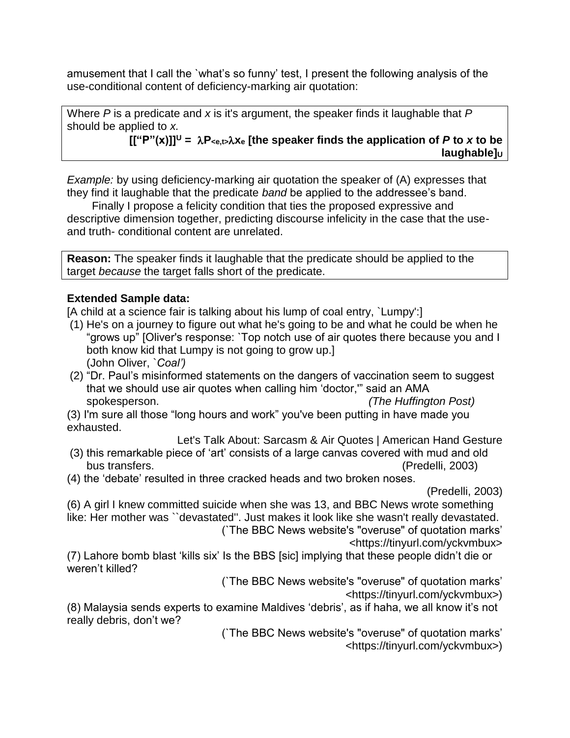amusement that I call the `what's so funny' test, I present the following analysis of the use-conditional content of deficiency-marking air quotation:

Where *P* is a predicate and *x* is it's argument, the speaker finds it laughable that *P*  should be applied to *x.*

 $[[$ " $P" (x)]]$ <sup>U</sup> =  $\lambda P_{\leq e, t > \lambda}$  X<sub>e</sub> [the speaker finds the application of *P* to *x* to be **laughable**]**U** 

*Example:* by using deficiency-marking air quotation the speaker of (A) expresses that they find it laughable that the predicate *band* be applied to the addressee's band.

 Finally I propose a felicity condition that ties the proposed expressive and descriptive dimension together, predicting discourse infelicity in the case that the useand truth- conditional content are unrelated.

**Reason:** The speaker finds it laughable that the predicate should be applied to the target *because* the target falls short of the predicate.

## **Extended Sample data:**

[A child at a science fair is talking about his lump of coal entry, `Lumpy':]

- (1) He's on a journey to figure out what he's going to be and what he could be when he "grows up" [Oliver's response: `Top notch use of air quotes there because you and I both know kid that Lumpy is not going to grow up.] (John Oliver, `*Coal')*
- (2) "Dr. Paul's misinformed statements on the dangers of vaccination seem to suggest that we should use air quotes when calling him 'doctor,'" said an AMA spokesperson. *(The Huffington Post)*
- (3) I'm sure all those "long hours and work" you've been putting in have made you exhausted.

Let's Talk About: Sarcasm & Air Quotes | American Hand Gesture

- (3) this remarkable piece of 'art' consists of a large canvas covered with mud and old bus transfers. (Predelli, 2003)
- (4) the 'debate' resulted in three cracked heads and two broken noses.

(Predelli, 2003)

(6) A girl I knew committed suicide when she was 13, and BBC News wrote something like: Her mother was ``devastated''. Just makes it look like she wasn't really devastated. (`The BBC News website's "overuse" of quotation marks'

<https://tinyurl.com/yckvmbux>

(7) Lahore bomb blast 'kills six' Is the BBS [sic] implying that these people didn't die or weren't killed?

(`The BBC News website's "overuse" of quotation marks'

<https://tinyurl.com/yckvmbux>)

(8) Malaysia sends experts to examine Maldives 'debris', as if haha, we all know it's not really debris, don't we?

(`The BBC News website's "overuse" of quotation marks' <https://tinyurl.com/yckvmbux>)